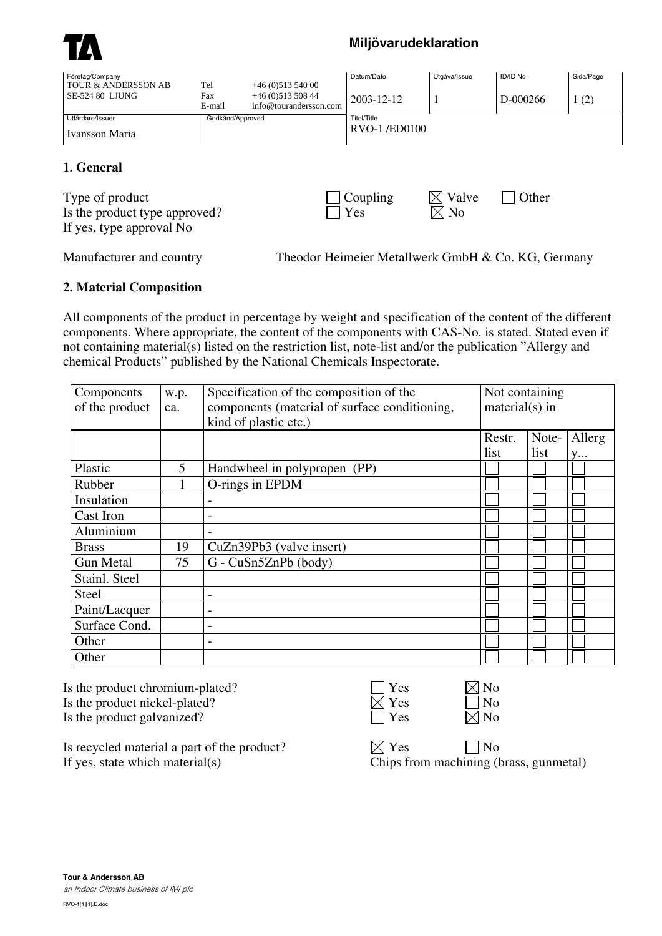

## **Miljövarudeklaration**

| Företag/Company<br>TOUR & ANDERSSON AB | Tel              | $+46(0)51354000$                           | Datum/Date          | Utgåva/Issue   | <b>ID/ID No</b> | Sida/Page |  |
|----------------------------------------|------------------|--------------------------------------------|---------------------|----------------|-----------------|-----------|--|
| <b>SE-524 80 LJUNG</b>                 | Fax<br>E-mail    | $+46(0)51350844$<br>info@tourandersson.com | 2003-12-12          |                | D-000266        | 1(2)      |  |
| Utfärdare/Issuer                       | Godkänd/Approved |                                            | Titel/Title         |                |                 |           |  |
| Ivansson Maria                         |                  |                                            | <b>RVO-1/ED0100</b> |                |                 |           |  |
| 1. General                             |                  |                                            |                     |                |                 |           |  |
| Type of product                        |                  |                                            | Coupling            | Valve          | Other           |           |  |
| Is the product type approved?          |                  |                                            | Yes                 | $\boxtimes$ No |                 |           |  |
| If yes, type approval No               |                  |                                            |                     |                |                 |           |  |

Manufacturer and country Theodor Heimeier Metallwerk GmbH & Co. KG, Germany

## **2. Material Composition**

All components of the product in percentage by weight and specification of the content of the different components. Where appropriate, the content of the components with CAS-No. is stated. Stated even if not containing material(s) listed on the restriction list, note-list and/or the publication "Allergy and chemical Products" published by the National Chemicals Inspectorate.

| Components<br>of the product | w.p.<br>ca. | Specification of the composition of the<br>components (material of surface conditioning,<br>kind of plastic etc.) | Not containing<br>$material(s)$ in |       |        |
|------------------------------|-------------|-------------------------------------------------------------------------------------------------------------------|------------------------------------|-------|--------|
|                              |             |                                                                                                                   | Restr.                             | Note- | Allerg |
|                              |             |                                                                                                                   | list                               | list  | y      |
| Plastic                      | 5           | Handwheel in polypropen (PP)                                                                                      |                                    |       |        |
| Rubber                       |             | O-rings in EPDM                                                                                                   |                                    |       |        |
| Insulation                   |             |                                                                                                                   |                                    |       |        |
| Cast Iron                    |             |                                                                                                                   |                                    |       |        |
| Aluminium                    |             |                                                                                                                   |                                    |       |        |
| <b>Brass</b>                 | 19          | CuZn39Pb3 (valve insert)                                                                                          |                                    |       |        |
| <b>Gun Metal</b>             | 75          | $G$ - $CuSn5ZnPb$ (body)                                                                                          |                                    |       |        |
| Stainl. Steel                |             |                                                                                                                   |                                    |       |        |
| Steel                        |             | -                                                                                                                 |                                    |       |        |
| Paint/Lacquer                |             |                                                                                                                   |                                    |       |        |
| Surface Cond.                |             | -                                                                                                                 |                                    |       |        |
| Other                        |             | -                                                                                                                 |                                    |       |        |
| Other                        |             |                                                                                                                   |                                    |       |        |

Is the product chromium-plated? Is the product nickel-plated? Is the product galvanized?

| S<br>г |
|--------|
| S<br>۳ |
|        |

| n |
|---|
| n |
| n |

Is recycled material a part of the product?  $\boxtimes$  Yes  $\Box$  No If yes, state which material(s) Chips from machining (brass, gunmetal)